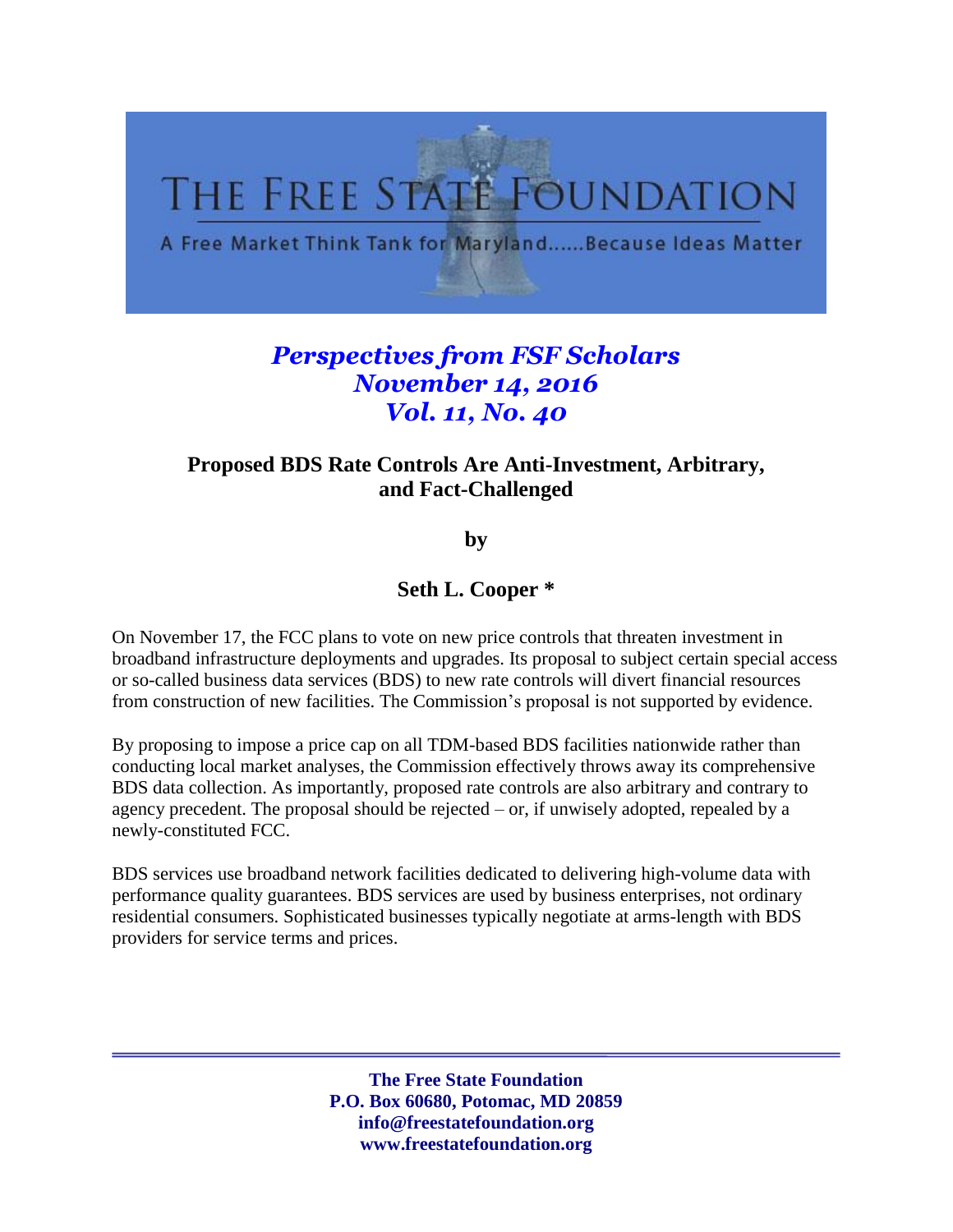

## *Perspectives from FSF Scholars November 14, 2016 Vol. 11, No. 40*

## **Proposed BDS Rate Controls Are Anti-Investment, Arbitrary, and Fact-Challenged**

**by** 

## **Seth L. Cooper \***

On November 17, the FCC plans to vote on new price controls that threaten investment in broadband infrastructure deployments and upgrades. Its proposal to subject certain special access or so-called business data services (BDS) to new rate controls will divert financial resources from construction of new facilities. The Commission's proposal is not supported by evidence.

By proposing to impose a price cap on all TDM-based BDS facilities nationwide rather than conducting local market analyses, the Commission effectively throws away its comprehensive BDS data collection. As importantly, proposed rate controls are also arbitrary and contrary to agency precedent. The proposal should be rejected – or, if unwisely adopted, repealed by a newly-constituted FCC.

BDS services use broadband network facilities dedicated to delivering high-volume data with performance quality guarantees. BDS services are used by business enterprises, not ordinary residential consumers. Sophisticated businesses typically negotiate at arms-length with BDS providers for service terms and prices.

> **The Free State Foundation P.O. Box 60680, Potomac, MD 20859 info@freestatefoundation.org www.freestatefoundation.org**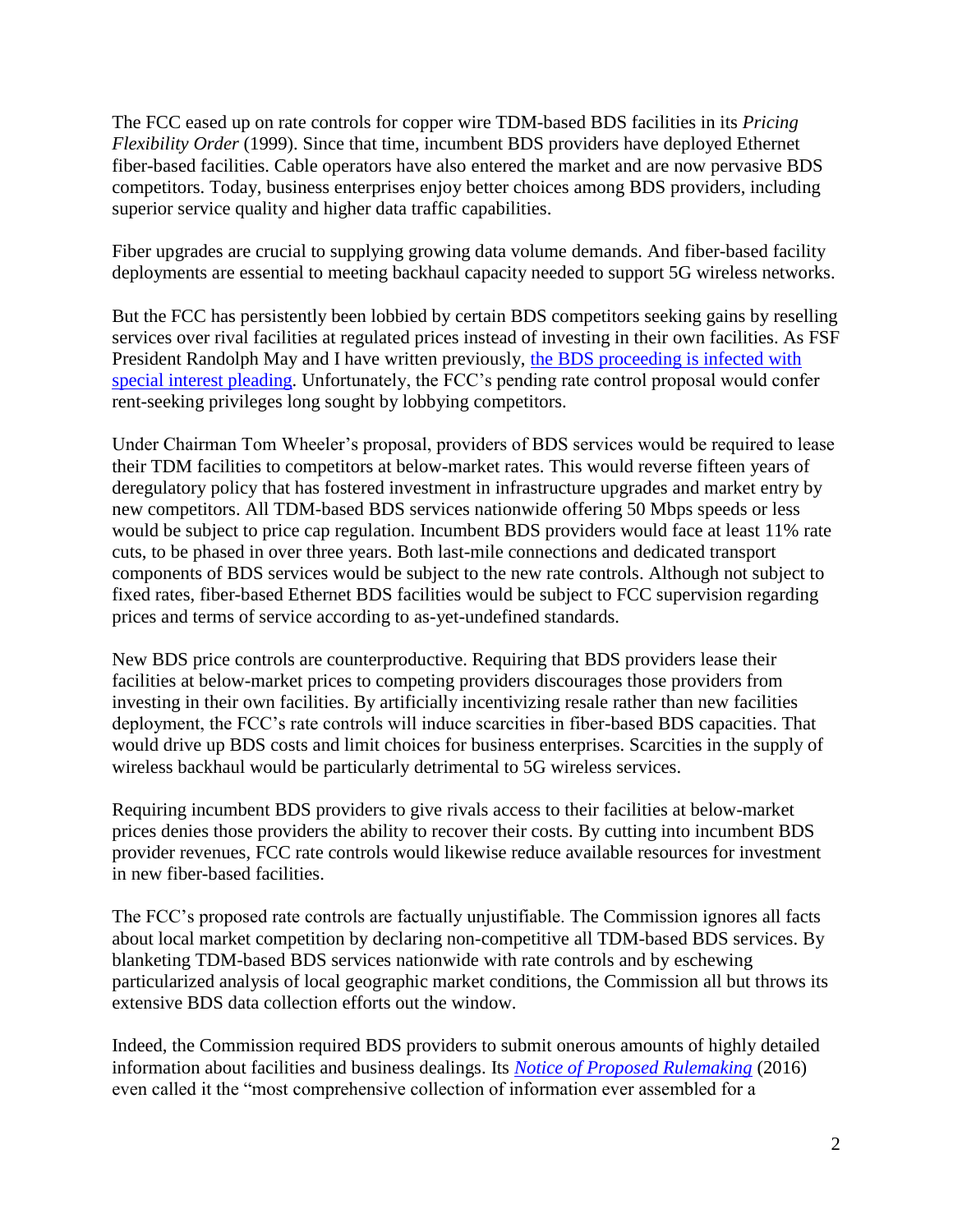The FCC eased up on rate controls for copper wire TDM-based BDS facilities in its *Pricing Flexibility Order* (1999). Since that time, incumbent BDS providers have deployed Ethernet fiber-based facilities. Cable operators have also entered the market and are now pervasive BDS competitors. Today, business enterprises enjoy better choices among BDS providers, including superior service quality and higher data traffic capabilities.

Fiber upgrades are crucial to supplying growing data volume demands. And fiber-based facility deployments are essential to meeting backhaul capacity needed to support 5G wireless networks.

But the FCC has persistently been lobbied by certain BDS competitors seeking gains by reselling services over rival facilities at regulated prices instead of investing in their own facilities. As FSF President Randolph May and I have written previously, the BDS proceeding is infected with [special interest pleading.](http://www.freestatefoundation.org/images/The_FCC_s_Special_Access_Proposal_Is_Infected_With_Special_Pleading_071416.pdf) Unfortunately, the FCC's pending rate control proposal would confer rent-seeking privileges long sought by lobbying competitors.

Under Chairman Tom Wheeler's proposal, providers of BDS services would be required to lease their TDM facilities to competitors at below-market rates. This would reverse fifteen years of deregulatory policy that has fostered investment in infrastructure upgrades and market entry by new competitors. All TDM-based BDS services nationwide offering 50 Mbps speeds or less would be subject to price cap regulation. Incumbent BDS providers would face at least 11% rate cuts, to be phased in over three years. Both last-mile connections and dedicated transport components of BDS services would be subject to the new rate controls. Although not subject to fixed rates, fiber-based Ethernet BDS facilities would be subject to FCC supervision regarding prices and terms of service according to as-yet-undefined standards.

New BDS price controls are counterproductive. Requiring that BDS providers lease their facilities at below-market prices to competing providers discourages those providers from investing in their own facilities. By artificially incentivizing resale rather than new facilities deployment, the FCC's rate controls will induce scarcities in fiber-based BDS capacities. That would drive up BDS costs and limit choices for business enterprises. Scarcities in the supply of wireless backhaul would be particularly detrimental to 5G wireless services.

Requiring incumbent BDS providers to give rivals access to their facilities at below-market prices denies those providers the ability to recover their costs. By cutting into incumbent BDS provider revenues, FCC rate controls would likewise reduce available resources for investment in new fiber-based facilities.

The FCC's proposed rate controls are factually unjustifiable. The Commission ignores all facts about local market competition by declaring non-competitive all TDM-based BDS services. By blanketing TDM-based BDS services nationwide with rate controls and by eschewing particularized analysis of local geographic market conditions, the Commission all but throws its extensive BDS data collection efforts out the window.

Indeed, the Commission required BDS providers to submit onerous amounts of highly detailed information about facilities and business dealings. Its *[Notice of Proposed Rulemaking](https://apps.fcc.gov/edocs_public/attachmatch/FCC-16-54A1.pdf)* (2016) even called it the "most comprehensive collection of information ever assembled for a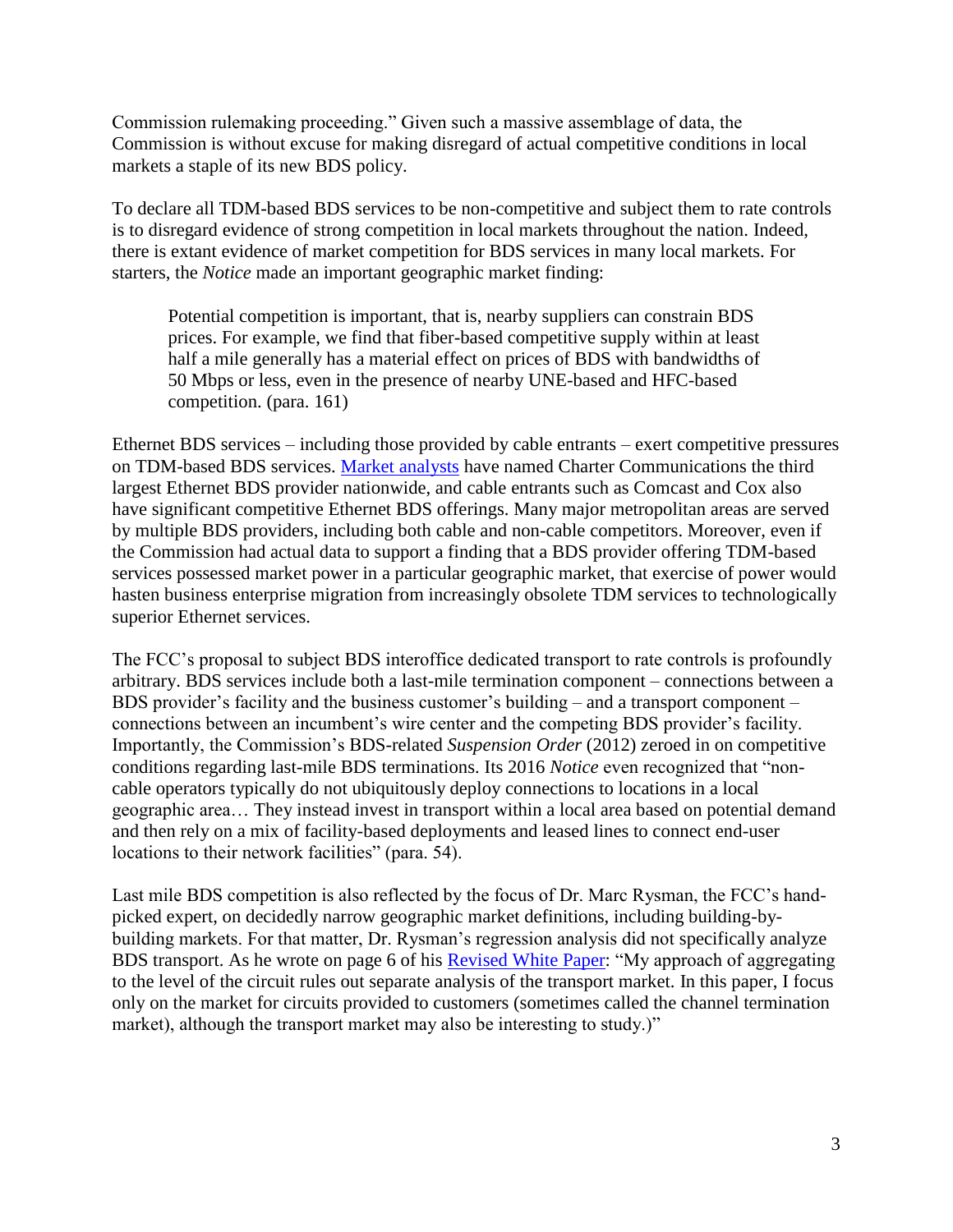Commission rulemaking proceeding." Given such a massive assemblage of data, the Commission is without excuse for making disregard of actual competitive conditions in local markets a staple of its new BDS policy.

To declare all TDM-based BDS services to be non-competitive and subject them to rate controls is to disregard evidence of strong competition in local markets throughout the nation. Indeed, there is extant evidence of market competition for BDS services in many local markets. For starters, the *Notice* made an important geographic market finding:

Potential competition is important, that is, nearby suppliers can constrain BDS prices. For example, we find that fiber-based competitive supply within at least half a mile generally has a material effect on prices of BDS with bandwidths of 50 Mbps or less, even in the presence of nearby UNE-based and HFC-based competition. (para. 161)

Ethernet BDS services – including those provided by cable entrants – exert competitive pressures on TDM-based BDS services. [Market analysts](http://www.convergedigest.com/2016/08/vertical-systems-shakeup-in-mid-2016-us.html) have named Charter Communications the third largest Ethernet BDS provider nationwide, and cable entrants such as Comcast and Cox also have significant competitive Ethernet BDS offerings. Many major metropolitan areas are served by multiple BDS providers, including both cable and non-cable competitors. Moreover, even if the Commission had actual data to support a finding that a BDS provider offering TDM-based services possessed market power in a particular geographic market, that exercise of power would hasten business enterprise migration from increasingly obsolete TDM services to technologically superior Ethernet services.

The FCC's proposal to subject BDS interoffice dedicated transport to rate controls is profoundly arbitrary. BDS services include both a last-mile termination component – connections between a BDS provider's facility and the business customer's building – and a transport component – connections between an incumbent's wire center and the competing BDS provider's facility. Importantly, the Commission's BDS-related *Suspension Order* (2012) zeroed in on competitive conditions regarding last-mile BDS terminations. Its 2016 *Notice* even recognized that "noncable operators typically do not ubiquitously deploy connections to locations in a local geographic area… They instead invest in transport within a local area based on potential demand and then rely on a mix of facility-based deployments and leased lines to connect end-user locations to their network facilities" (para. 54).

Last mile BDS competition is also reflected by the focus of Dr. Marc Rysman, the FCC's handpicked expert, on decidedly narrow geographic market definitions, including building-bybuilding markets. For that matter, Dr. Rysman's regression analysis did not specifically analyze BDS transport. As he wrote on page 6 of his [Revised White Paper:](https://apps.fcc.gov/edocs_public/attachmatch/DOC-340040A6.pdf) "My approach of aggregating to the level of the circuit rules out separate analysis of the transport market. In this paper, I focus only on the market for circuits provided to customers (sometimes called the channel termination market), although the transport market may also be interesting to study.)"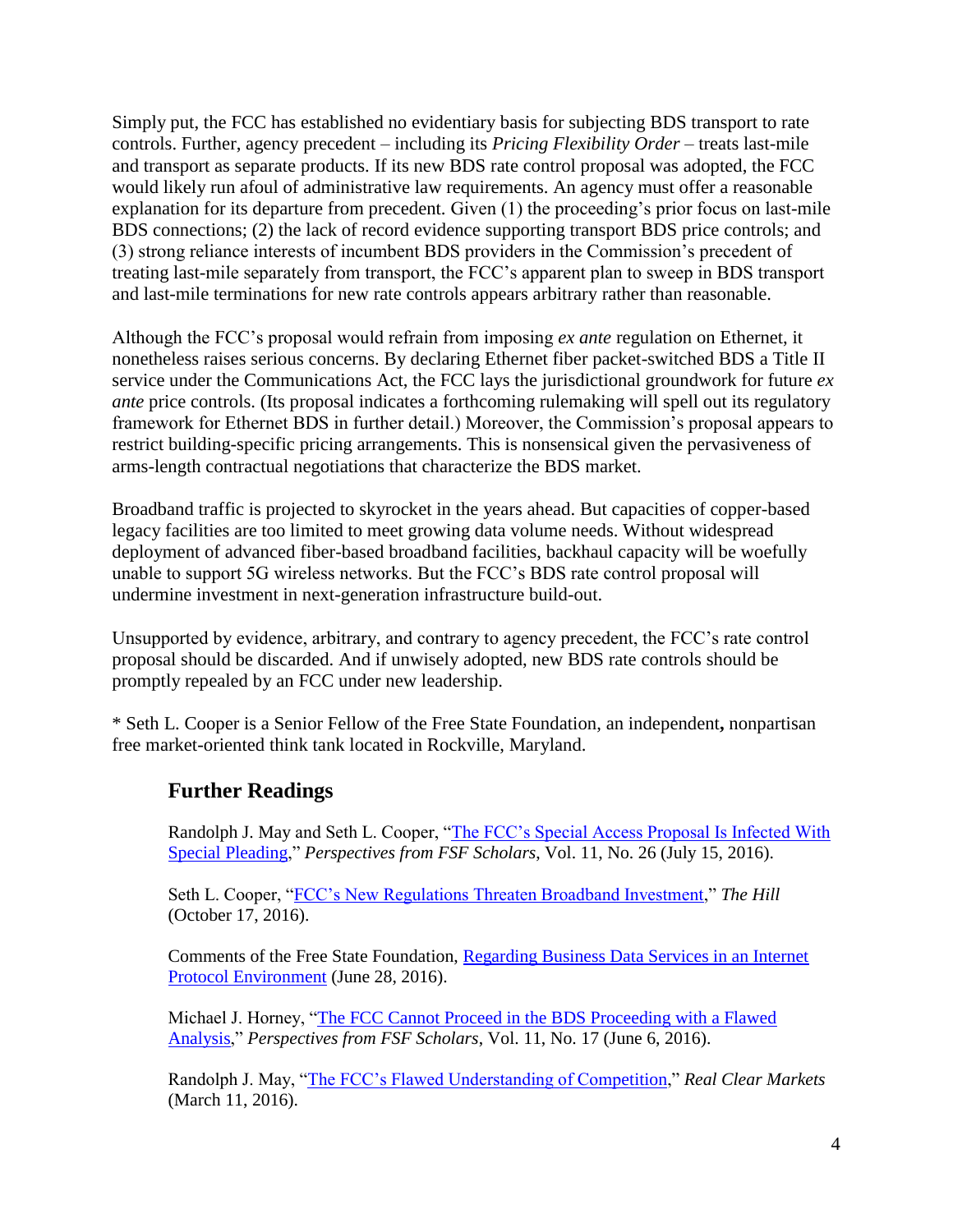Simply put, the FCC has established no evidentiary basis for subjecting BDS transport to rate controls. Further, agency precedent – including its *Pricing Flexibility Order* – treats last-mile and transport as separate products. If its new BDS rate control proposal was adopted, the FCC would likely run afoul of administrative law requirements. An agency must offer a reasonable explanation for its departure from precedent. Given (1) the proceeding's prior focus on last-mile BDS connections; (2) the lack of record evidence supporting transport BDS price controls; and (3) strong reliance interests of incumbent BDS providers in the Commission's precedent of treating last-mile separately from transport, the FCC's apparent plan to sweep in BDS transport and last-mile terminations for new rate controls appears arbitrary rather than reasonable.

Although the FCC's proposal would refrain from imposing *ex ante* regulation on Ethernet, it nonetheless raises serious concerns. By declaring Ethernet fiber packet-switched BDS a Title II service under the Communications Act, the FCC lays the jurisdictional groundwork for future *ex ante* price controls. (Its proposal indicates a forthcoming rulemaking will spell out its regulatory framework for Ethernet BDS in further detail.) Moreover, the Commission's proposal appears to restrict building-specific pricing arrangements. This is nonsensical given the pervasiveness of arms-length contractual negotiations that characterize the BDS market.

Broadband traffic is projected to skyrocket in the years ahead. But capacities of copper-based legacy facilities are too limited to meet growing data volume needs. Without widespread deployment of advanced fiber-based broadband facilities, backhaul capacity will be woefully unable to support 5G wireless networks. But the FCC's BDS rate control proposal will undermine investment in next-generation infrastructure build-out.

Unsupported by evidence, arbitrary, and contrary to agency precedent, the FCC's rate control proposal should be discarded. And if unwisely adopted, new BDS rate controls should be promptly repealed by an FCC under new leadership.

\* Seth L. Cooper is a Senior Fellow of the Free State Foundation, an independent**,** nonpartisan free market-oriented think tank located in Rockville, Maryland.

## **Further Readings**

Randolph J. May and Seth L. Cooper, ["The FCC's Special Access Proposal Is Infected With](http://www.freestatefoundation.org/images/The_FCC_s_Special_Access_Proposal_Is_Infected_With_Special_Pleading_071416.pdf)  [Special Pleading,](http://www.freestatefoundation.org/images/The_FCC_s_Special_Access_Proposal_Is_Infected_With_Special_Pleading_071416.pdf)" *Perspectives from FSF Scholars*, Vol. 11, No. 26 (July 15, 2016).

Seth L. Cooper, ["FCC's New Regulations Threaten Broadband Investment,](http://thehill.com/blogs/pundits-blog/technology/301276-fccs-new-regulations-threaten-broadband-investment)" *The Hill* (October 17, 2016).

Comments of the Free State Foundation, [Regarding Business Data Services in an Internet](http://www.freestatefoundation.org/images/FSF_Comments_-_Business_Data_Services_in_an_Internet_Protocol_Environment_062816.pdf)  [Protocol Environment](http://www.freestatefoundation.org/images/FSF_Comments_-_Business_Data_Services_in_an_Internet_Protocol_Environment_062816.pdf) (June 28, 2016).

Michael J. Horney, ["The FCC Cannot Proceed in the BDS Proceeding with a Flawed](http://www.freestatefoundation.org/images/The_FCC_Cannot_Proceed_in_the_BDS_Proceeding_with_a_Flawed_Analysis_053116.pdf)  [Analysis,](http://www.freestatefoundation.org/images/The_FCC_Cannot_Proceed_in_the_BDS_Proceeding_with_a_Flawed_Analysis_053116.pdf)" *Perspectives from FSF Scholars*, Vol. 11, No. 17 (June 6, 2016).

Randolph J. May, ["The FCC's Flawed Understanding of Competition,](http://www.realclearmarkets.com/articles/2016/03/11/the_fccs_flawed_understanding_of_competition_102055.html)" *Real Clear Markets* (March 11, 2016).